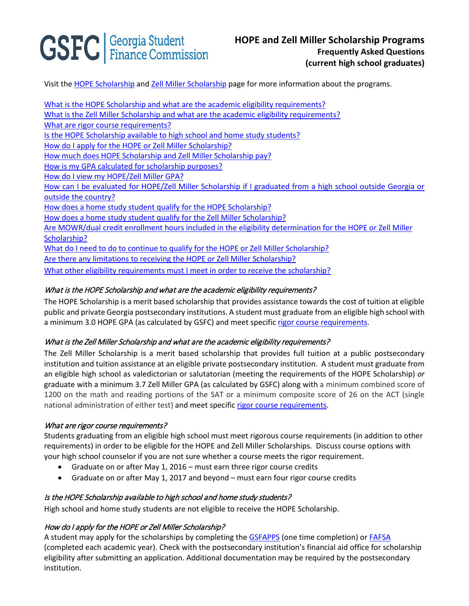# **GSFC** | Georgia Student

Visit the [HOPE Scholarship](https://www.gafutures.org/hope-state-aid-programs/hope-zell-miller-scholarships/hope-scholarship/) an[d Zell Miller Scholarship](https://www.gafutures.org/hope-state-aid-programs/hope-zell-miller-scholarships/zell-miller-scholarship/) page for more information about the programs.

What is the HOPE Scholarship [and what are the academic eligibility requirements?](#page-0-0) What is the Zell Miller Scholarship [and what are the academic eligibility requirements?](#page-0-1) [What are rigor course requirements?](#page-0-2)  [Is the HOPE Scholarship available to high school and](#page-0-3) home study students? [How do I apply for the HOPE or Zell Miller Scholarship?](#page-0-4) [How much does HOPE Scholarship and Zell Miller Scholarship pay?](#page-1-0) [How is my GPA calculated for scholarship purposes?](#page-1-1) [How do I view my HOPE/Zell Miller GPA?](#page-1-2) [How can I be evaluated for HOPE/Zell Miller Scholarship if I graduated from a high school outside Georgia or](#page-1-3)  [outside the country?](#page-1-3) [How does a home study student qualify for the HOPE Scholarship?](#page-1-4) [How does a home study student qualify for the Zell Miller Scholarship?](#page-1-5) Are MOWR/dual credit enrollment hours included in the eligibility determination for the HOPE or Zell Miller [Scholarship?](#page-1-6) [What do I need to do to continue to qualify for the HOPE or Zell Miller Scholarship?](#page-2-0) [Are there any limitations to receiving the HOPE or Zell Miller Scholarship?](#page-2-1) [What other eligibility requirements must I meet in order to receive the scholarship?](#page-2-1)

## <span id="page-0-0"></span>What is the HOPE Scholarship and what are the academic eligibility requirements?

The HOPE Scholarship is a merit based scholarship that provides assistance towards the cost of tuition at eligible public and private Georgia postsecondary institutions. A student must graduate from an eligible high school with a minimum 3.0 HOPE GPA (as calculated by GSFC) and meet specific [rigor course requirements.](https://www.gafutures.org/media/113414/rigor-course-list-july-2016.pdf)

## <span id="page-0-1"></span>What is the Zell Miller Scholarship and what are the academic eligibility requirements?

The Zell Miller Scholarship is a merit based scholarship that provides full tuition at a public postsecondary institution and tuition assistance at an eligible private postsecondary institution. A student must graduate from an eligible high school as valedictorian or salutatorian (meeting the requirements of the HOPE Scholarship) *or* graduate with a minimum 3.7 Zell Miller GPA (as calculated by GSFC) along with a minimum combined score of 1200 on the math and reading portions of the SAT or a minimum composite score of 26 on the ACT (single national administration of either test) and meet specifi[c rigor course requirements.](https://www.gafutures.org/media/113414/rigor-course-list-july-2016.pdf)

## <span id="page-0-2"></span>What are rigor course requirements?

Students graduating from an eligible high school must meet rigorous course requirements (in addition to other requirements) in order to be eligible for the HOPE and Zell Miller Scholarships. Discuss course options with your high school counselor if you are not sure whether a course meets the rigor requirement.

- Graduate on or after May 1, 2016 must earn three rigor course credits
- Graduate on or after May 1, 2017 and beyond must earn four rigor course credits

# <span id="page-0-3"></span>Is the HOPE Scholarship available to high school and home study students?

High school and home study students are not eligible to receive the HOPE Scholarship.

# <span id="page-0-4"></span>How do I apply for the HOPE or Zell Miller Scholarship?

A student may apply for the scholarships by completing the **GSFAPPS** (one time completion) or **FAFSA** (completed each academic year). Check with the postsecondary institution's financial aid office for scholarship eligibility after submitting an application. Additional documentation may be required by the postsecondary institution.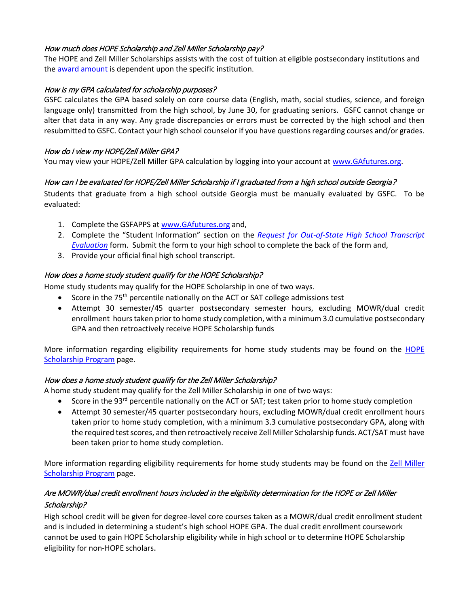#### <span id="page-1-0"></span>How much does HOPE Scholarship and Zell Miller Scholarship pay?

The HOPE and Zell Miller Scholarships assists with the cost of tuition at eligible postsecondary institutions and the [award amount](https://apps.gsfc.org/Secure/dsp_award_amounts.cfm) is dependent upon the specific institution.

#### <span id="page-1-1"></span>How is my GPA calculated for scholarship purposes?

GSFC calculates the GPA based solely on core course data (English, math, social studies, science, and foreign language only) transmitted from the high school, by June 30, for graduating seniors. GSFC cannot change or alter that data in any way. Any grade discrepancies or errors must be corrected by the high school and then resubmitted to GSFC. Contact your high school counselor if you have questions regarding courses and/or grades.

#### <span id="page-1-2"></span>How do I view my HOPE/Zell Miller GPA?

You may view your HOPE/Zell Miller GPA calculation by logging into your account at [www.GAfutures.org.](http://www.gafutures.org/)

#### <span id="page-1-3"></span>How can I be evaluated for HOPE/Zell Miller Scholarship if I graduated from a high school outside Georgia?

Students that graduate from a high school outside Georgia must be manually evaluated by GSFC. To be evaluated:

- 1. Complete the GSFAPPS a[t www.GAfutures.org](http://www.gafutures.org/) and,
- 2. Complete the "Student Information" section on the *[Request for Out-of-State High School Transcript](https://apps.gsfc.org/main/publishing/pdf/common/Out-of-State%20HS%20Transcript%20Eval%20HOPE%20Zell%20Miller%20Scholarship%20Request.pdf)  [Evaluation](https://apps.gsfc.org/main/publishing/pdf/common/Out-of-State%20HS%20Transcript%20Eval%20HOPE%20Zell%20Miller%20Scholarship%20Request.pdf)* form. Submit the form to your high school to complete the back of the form and,
- 3. Provide your official final high school transcript.

## <span id="page-1-4"></span>How does a home study student qualify for the HOPE Scholarship?

Home study students may qualify for the HOPE Scholarship in one of two ways.

- Score in the 75<sup>th</sup> percentile nationally on the ACT or SAT college admissions test
- Attempt 30 semester/45 quarter postsecondary semester hours, excluding MOWR/dual credit enrollment hours taken prior to home study completion, with a minimum 3.0 cumulative postsecondary GPA and then retroactively receive HOPE Scholarship funds

More information regarding eligibility requirements for home study students may be found on the [HOPE](https://www.gafutures.org/hope-state-aid-programs/hope-zell-miller-scholarships/hope-scholarship/)  [Scholarship Program](https://www.gafutures.org/hope-state-aid-programs/hope-zell-miller-scholarships/hope-scholarship/) page.

#### <span id="page-1-5"></span>How does a home study student qualify for the Zell Miller Scholarship?

A home study student may qualify for the Zell Miller Scholarship in one of two ways:

- Score in the 93 $^{rd}$  percentile nationally on the ACT or SAT; test taken prior to home study completion
- Attempt 30 semester/45 quarter postsecondary hours, excluding MOWR/dual credit enrollment hours taken prior to home study completion, with a minimum 3.3 cumulative postsecondary GPA, along with the required test scores, and then retroactively receive Zell Miller Scholarship funds. ACT/SAT must have been taken prior to home study completion.

More information regarding eligibility requirements for home study students may be found on the Zell Miller [Scholarship Program](https://www.gafutures.org/hope-state-aid-programs/hope-zell-miller-scholarships/zell-miller-scholarship/) page.

# <span id="page-1-6"></span>Are MOWR/dual credit enrollment hours included in the eligibility determination for the HOPE or Zell Miller Scholarship?

High school credit will be given for degree-level core courses taken as a MOWR/dual credit enrollment student and is included in determining a student's high school HOPE GPA. The dual credit enrollment coursework cannot be used to gain HOPE Scholarship eligibility while in high school or to determine HOPE Scholarship eligibility for non-HOPE scholars.